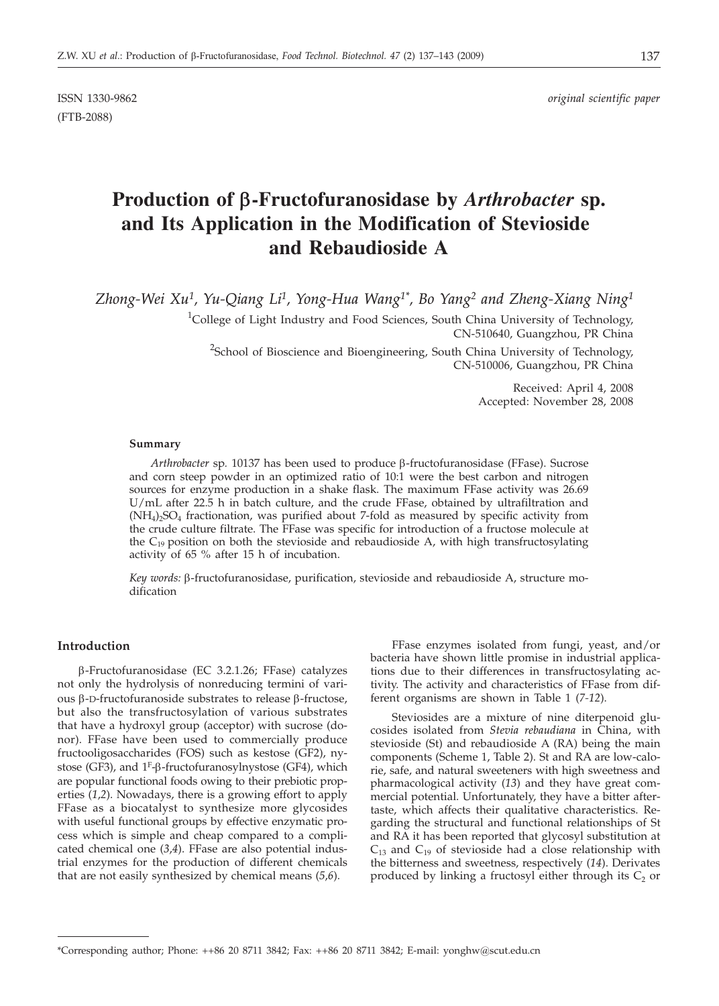(FTB-2088)

# **Production of b-Fructofuranosidase by** *Arthrobacter* **sp. and Its Application in the Modification of Stevioside and Rebaudioside A**

*Zhong-Wei Xu1 , Yu-Qiang Li1 , Yong-Hua Wang1\*, Bo Yang2 and Zheng-Xiang Ning1*

<sup>1</sup>College of Light Industry and Food Sciences, South China University of Technology, CN-510640, Guangzhou, PR China

<sup>2</sup>School of Bioscience and Bioengineering, South China University of Technology, CN-510006, Guangzhou, PR China

> Received: April 4, 2008 Accepted: November 28, 2008

#### **Summary**

*Arthrobacter* sp. 10137 has been used to produce β-fructofuranosidase (FFase). Sucrose and corn steep powder in an optimized ratio of 10:1 were the best carbon and nitrogen sources for enzyme production in a shake flask. The maximum FFase activity was 26.69 U/mL after 22.5 h in batch culture, and the crude FFase, obtained by ultrafiltration and  $(NH<sub>4</sub>)<sub>2</sub>SO<sub>4</sub>$  fractionation, was purified about 7-fold as measured by specific activity from the crude culture filtrate. The FFase was specific for introduction of a fructose molecule at the  $C_{19}$  position on both the stevioside and rebaudioside A, with high transfructosylating activity of 65 % after 15 h of incubation.

Key words:  $\beta$ -fructofuranosidase, purification, stevioside and rebaudioside A, structure modification

### **Introduction**

b-Fructofuranosidase (EC 3.2.1.26; FFase) catalyzes not only the hydrolysis of nonreducing termini of various  $\beta$ -D-fructofuranoside substrates to release  $\beta$ -fructose, but also the transfructosylation of various substrates that have a hydroxyl group (acceptor) with sucrose (donor). FFase have been used to commercially produce fructooligosaccharides (FOS) such as kestose (GF2), nystose (GF3), and  $1^F$ - $\beta$ -fructofuranosylnystose (GF4), which are popular functional foods owing to their prebiotic properties (*1*,*2*). Nowadays, there is a growing effort to apply FFase as a biocatalyst to synthesize more glycosides with useful functional groups by effective enzymatic process which is simple and cheap compared to a complicated chemical one (*3*,*4*). FFase are also potential industrial enzymes for the production of different chemicals that are not easily synthesized by chemical means (*5*,*6*).

FFase enzymes isolated from fungi, yeast, and/or bacteria have shown little promise in industrial applications due to their differences in transfructosylating activity. The activity and characteristics of FFase from different organisms are shown in Table 1 (*7-12*).

Steviosides are a mixture of nine diterpenoid glucosides isolated from *Stevia rebaudiana* in China, with stevioside (St) and rebaudioside A (RA) being the main components (Scheme 1, Table 2). St and RA are low-calorie, safe, and natural sweeteners with high sweetness and pharmacological activity (*13*) and they have great commercial potential. Unfortunately, they have a bitter aftertaste, which affects their qualitative characteristics. Regarding the structural and functional relationships of St and RA it has been reported that glycosyl substitution at  $C_{13}$  and  $C_{19}$  of stevioside had a close relationship with the bitterness and sweetness, respectively (*14*). Derivates produced by linking a fructosyl either through its  $C_2$  or

<sup>\*</sup>Corresponding author; Phone: ++86 20 8711 3842; Fax: ++86 20 8711 3842; E-mail: yonghw@scut.edu.cn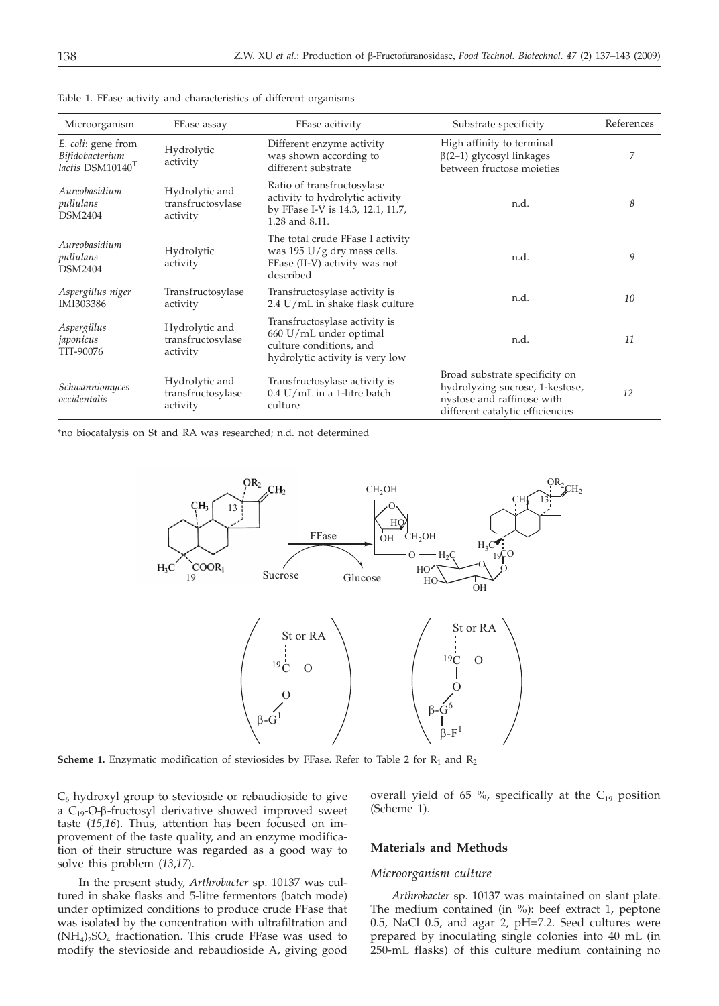| Microorganism                                                         | FFase assay                                     | FFase acitivity                                                                                                               | Substrate specificity                                                                                                               | References |
|-----------------------------------------------------------------------|-------------------------------------------------|-------------------------------------------------------------------------------------------------------------------------------|-------------------------------------------------------------------------------------------------------------------------------------|------------|
| E. coli: gene from<br>Bifidobacterium<br>lactis DSM10140 <sup>T</sup> | Hydrolytic<br>activity                          | Different enzyme activity<br>was shown according to<br>different substrate                                                    | High affinity to terminal<br>$\beta$ (2–1) glycosyl linkages<br>between fructose moieties                                           | 7          |
| Aureobasidium<br>pullulans<br><b>DSM2404</b>                          | Hydrolytic and<br>transfructosylase<br>activity | Ratio of transfructosylase<br>activity to hydrolytic activity<br>by FFase I-V is 14.3, 12.1, 11.7,<br>1.28 and 8.11.          | n.d.                                                                                                                                | 8          |
| Aureobasidium<br>pullulans<br><b>DSM2404</b>                          | Hydrolytic<br>activity                          | The total crude FFase I activity<br>was 195 $U/g$ dry mass cells.<br>FFase (II-V) activity was not<br>described               | n.d.                                                                                                                                | 9          |
| Aspergillus niger<br>IMI303386                                        | Transfructosylase<br>activity                   | Transfructosylase activity is<br>2.4 U/mL in shake flask culture                                                              | n.d.                                                                                                                                |            |
| Aspergillus<br>japonicus<br>TIT-90076                                 | Hydrolytic and<br>transfructosylase<br>activity | Transfructosylase activity is<br>660 U/mL under optimal<br>n.d.<br>culture conditions, and<br>hydrolytic activity is very low |                                                                                                                                     | 11         |
| Schwanniomyces<br>occidentalis                                        | Hydrolytic and<br>transfructosylase<br>activity | Transfructosylase activity is<br>$0.4$ U/mL in a 1-litre batch<br>culture                                                     | Broad substrate specificity on<br>hydrolyzing sucrose, 1-kestose,<br>nystose and raffinose with<br>different catalytic efficiencies | 12         |

Table 1. FFase activity and characteristics of different organisms

\*no biocatalysis on St and RA was researched; n.d. not determined



**Scheme 1.** Enzymatic modification of steviosides by FFase. Refer to Table 2 for  $R_1$  and  $R_2$ 

 $C_6$  hydroxyl group to stevioside or rebaudioside to give a  $C_{19}$ -O- $\beta$ -fructosyl derivative showed improved sweet taste (*15*,*16*). Thus, attention has been focused on improvement of the taste quality, and an enzyme modification of their structure was regarded as a good way to solve this problem (*13*,*17*).

In the present study, *Arthrobacter* sp. 10137 was cultured in shake flasks and 5-litre fermentors (batch mode) under optimized conditions to produce crude FFase that was isolated by the concentration with ultrafiltration and  $(NH_4)$ <sub>2</sub>SO<sub>4</sub> fractionation. This crude FFase was used to modify the stevioside and rebaudioside A, giving good

overall yield of 65 %, specifically at the  $C_{19}$  position (Scheme 1).

### **Materials and Methods**

#### *Microorganism culture*

*Arthrobacter* sp. 10137 was maintained on slant plate. The medium contained (in %): beef extract 1, peptone 0.5, NaCl 0.5, and agar 2, pH=7.2. Seed cultures were prepared by inoculating single colonies into 40 mL (in 250-mL flasks) of this culture medium containing no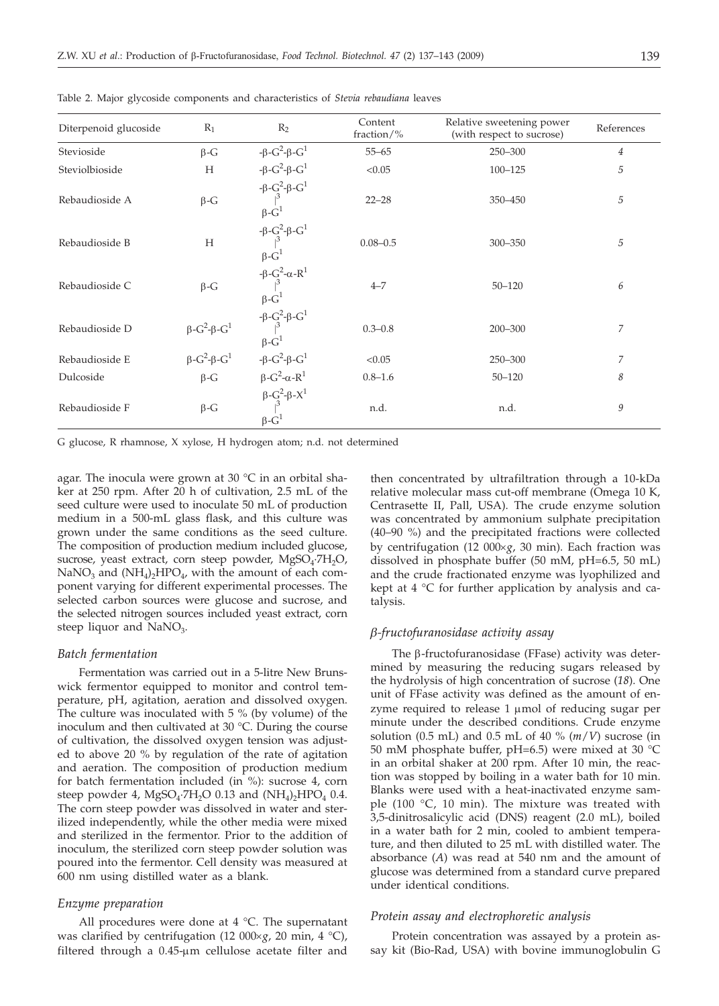| Diterpenoid glucoside | $R_1$                                             | $R_2$                                                                                                                                                                                                                                                                                                                                                                                                                                               | Content<br>fraction/ $\%$ | Relative sweetening power<br>(with respect to sucrose) | References     |
|-----------------------|---------------------------------------------------|-----------------------------------------------------------------------------------------------------------------------------------------------------------------------------------------------------------------------------------------------------------------------------------------------------------------------------------------------------------------------------------------------------------------------------------------------------|---------------------------|--------------------------------------------------------|----------------|
| Stevioside            | $\beta$ -G                                        |                                                                                                                                                                                                                                                                                                                                                                                                                                                     | $55 - 65$                 | 250-300                                                | $\overline{4}$ |
| Steviolbioside        | H                                                 |                                                                                                                                                                                                                                                                                                                                                                                                                                                     | < 0.05                    | $100 - 125$                                            | 5              |
| Rebaudioside A        | $\beta$ -G                                        | $\begin{array}{ll} \displaystyle +\beta\hbox{-} G^2\hbox{-} \beta\hbox{-} G^1 \\ \displaystyle +\beta\hbox{-} G^2\hbox{-} \beta\hbox{-} G^1 \\ \displaystyle +\beta\hbox{-} G^2\hbox{-} \beta\hbox{-} G^1 \\ \displaystyle +\beta\hbox{-} G^1 \\ \displaystyle +\beta\hbox{-} G^1 \\ \displaystyle +\beta\hbox{-} G^2\hbox{-} \beta\hbox{-} G^1 \\ \displaystyle +\beta\hbox{-} G^2\hbox{-} G^1 \\ \displaystyle +\beta\hbox{-} G^1 \\ \end{array}$ | $22 - 28$                 | 350-450                                                | 5              |
| Rebaudioside B        | H                                                 |                                                                                                                                                                                                                                                                                                                                                                                                                                                     | $0.08 - 0.5$              | 300-350                                                | 5              |
| Rebaudioside C        | $\beta$ -G                                        | $-6$<br>-β $-6^{2}$ -α-R <sup>1</sup><br> β-G <sup>1</sup>                                                                                                                                                                                                                                                                                                                                                                                          | $4 - 7$                   | $50 - 120$                                             | 6              |
| Rebaudioside D        | $\beta$ -G <sup>2</sup> - $\beta$ -G <sup>1</sup> | $\begin{array}{l} -\beta\hbox{-}{{G}^{2}}\hbox{-}\beta\hbox{-}{{G}^{1}}\\ \upskip 5pt \beta\hbox{-}{{G}^{1}}\\ \end{array}$                                                                                                                                                                                                                                                                                                                         | $0.3 - 0.8$               | 200-300                                                | 7              |
| Rebaudioside E        | $\beta$ -G <sup>2</sup> - $\beta$ -G <sup>1</sup> | - $\beta$ -G <sup>2</sup> - $\beta$ -G <sup>1</sup>                                                                                                                                                                                                                                                                                                                                                                                                 | < 0.05                    | 250-300                                                | 7              |
| Dulcoside             | $\beta$ -G                                        |                                                                                                                                                                                                                                                                                                                                                                                                                                                     | $0.8 - 1.6$               | $50 - 120$                                             | 8              |
| Rebaudioside F        | $\beta$ -G                                        | $β-G^2-α-R^1$<br>$β-G^2-β-X^1$<br>$\beta$ -G <sup>1</sup>                                                                                                                                                                                                                                                                                                                                                                                           | n.d.                      | n.d.                                                   | 9              |

Table 2. Major glycoside components and characteristics of *Stevia rebaudiana* leaves

G glucose, R rhamnose, X xylose, H hydrogen atom; n.d. not determined

agar. The inocula were grown at 30 °C in an orbital shaker at 250 rpm. After 20 h of cultivation, 2.5 mL of the seed culture were used to inoculate 50 mL of production medium in a 500-mL glass flask, and this culture was grown under the same conditions as the seed culture. The composition of production medium included glucose, sucrose, yeast extract, corn steep powder,  $MgSO_4$ ·7H<sub>2</sub>O,  $NaNO<sub>3</sub>$  and  $(NH<sub>4</sub>)<sub>2</sub>HPO<sub>4</sub>$ , with the amount of each component varying for different experimental processes. The selected carbon sources were glucose and sucrose, and the selected nitrogen sources included yeast extract, corn steep liquor and NaNO<sub>3</sub>.

## *Batch fermentation*

Fermentation was carried out in a 5-litre New Brunswick fermentor equipped to monitor and control temperature, pH, agitation, aeration and dissolved oxygen. The culture was inoculated with 5 % (by volume) of the inoculum and then cultivated at 30 °C. During the course of cultivation, the dissolved oxygen tension was adjusted to above 20 % by regulation of the rate of agitation and aeration. The composition of production medium for batch fermentation included (in %): sucrose 4, corn steep powder 4, MgSO<sub>4</sub>·7H<sub>2</sub>O 0.13 and  $(NH<sub>4</sub>)$ <sub>2</sub>HPO<sub>4</sub> 0.4. The corn steep powder was dissolved in water and sterilized independently, while the other media were mixed and sterilized in the fermentor. Prior to the addition of inoculum, the sterilized corn steep powder solution was poured into the fermentor. Cell density was measured at 600 nm using distilled water as a blank.

### *Enzyme preparation*

All procedures were done at 4 °C. The supernatant was clarified by centrifugation (12  $000 \times g$ , 20 min, 4 °C), filtered through a  $0.45$ -µm cellulose acetate filter and

then concentrated by ultrafiltration through a 10-kDa relative molecular mass cut-off membrane (Omega 10 K, Centrasette II, Pall, USA). The crude enzyme solution was concentrated by ammonium sulphate precipitation (40–90 %) and the precipitated fractions were collected by centrifugation (12 000×g, 30 min). Each fraction was dissolved in phosphate buffer (50 mM, pH=6.5, 50 mL) and the crude fractionated enzyme was lyophilized and kept at 4 °C for further application by analysis and catalysis.

#### *b-fructofuranosidase activity assay*

The  $\beta$ -fructofuranosidase (FFase) activity was determined by measuring the reducing sugars released by the hydrolysis of high concentration of sucrose (*18*). One unit of FFase activity was defined as the amount of enzyme required to release 1 µmol of reducing sugar per minute under the described conditions. Crude enzyme solution (0.5 mL) and 0.5 mL of 40 % (*m*/*V*) sucrose (in 50 mM phosphate buffer, pH=6.5) were mixed at 30 °C in an orbital shaker at 200 rpm. After 10 min, the reaction was stopped by boiling in a water bath for 10 min. Blanks were used with a heat-inactivated enzyme sample (100 $\degree$ C, 10 min). The mixture was treated with 3,5-dinitrosalicylic acid (DNS) reagent (2.0 mL), boiled in a water bath for 2 min, cooled to ambient temperature, and then diluted to 25 mL with distilled water. The absorbance (*A*) was read at 540 nm and the amount of glucose was determined from a standard curve prepared under identical conditions.

#### *Protein assay and electrophoretic analysis*

Protein concentration was assayed by a protein assay kit (Bio-Rad, USA) with bovine immunoglobulin G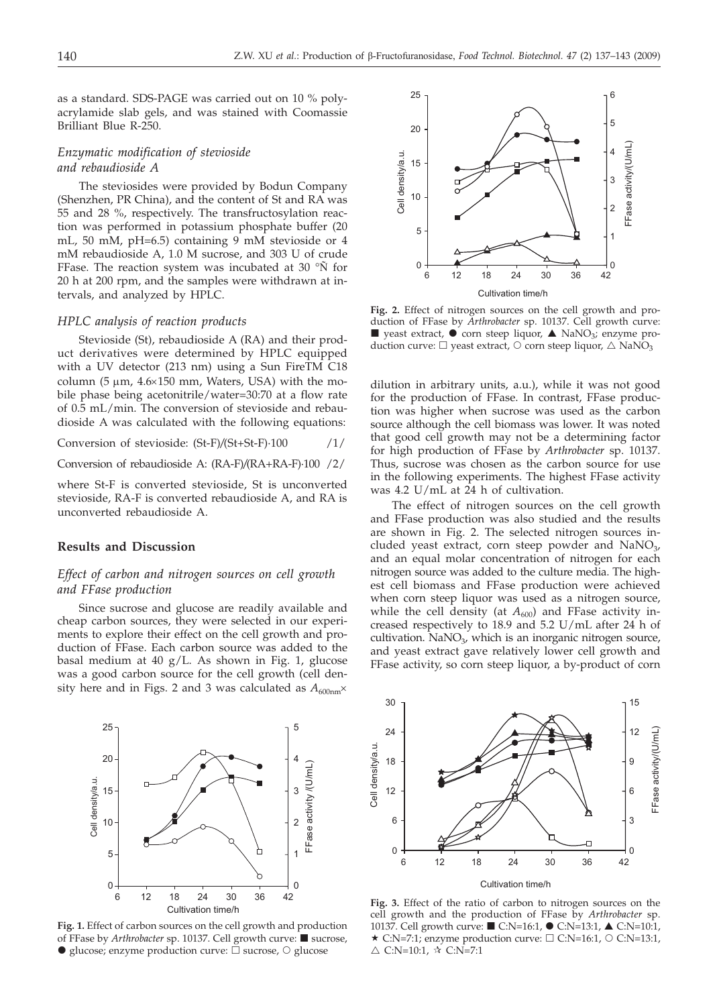as a standard. SDS-PAGE was carried out on 10 % polyacrylamide slab gels, and was stained with Coomassie Brilliant Blue R-250.

## *Enzymatic modification of stevioside and rebaudioside A*

The steviosides were provided by Bodun Company (Shenzhen, PR China), and the content of St and RA was 55 and 28 %, respectively. The transfructosylation reaction was performed in potassium phosphate buffer (20 mL, 50 mM, pH=6.5) containing 9 mM stevioside or 4 mM rebaudioside A, 1.0 M sucrose, and 303 U of crude FFase. The reaction system was incubated at 30 °Ñ for 20 h at 200 rpm, and the samples were withdrawn at intervals, and analyzed by HPLC.

## *HPLC analysis of reaction products*

Stevioside (St), rebaudioside A (RA) and their product derivatives were determined by HPLC equipped with a UV detector (213 nm) using a Sun FireTM C18 column (5  $\mu$ m, 4.6 $\times$ 150 mm, Waters, USA) with the mobile phase being acetonitrile/water=30:70 at a flow rate of 0.5 mL/min. The conversion of stevioside and rebaudioside A was calculated with the following equations:

Conversion of stevioside: (St-F)*/*(St+St-F)·100 /1/

Conversion of rebaudioside A: (RA-F)*/*(RA+RA-F)·100 /2/

where St-F is converted stevioside, St is unconverted stevioside, RA-F is converted rebaudioside A, and RA is unconverted rebaudioside A.

# **Results and Discussion**

## *Effect of carbon and nitrogen sources on cell growth and FFase production*

Since sucrose and glucose are readily available and cheap carbon sources, they were selected in our experiments to explore their effect on the cell growth and production of FFase. Each carbon source was added to the basal medium at 40 g/L. As shown in Fig. 1, glucose was a good carbon source for the cell growth (cell density here and in Figs. 2 and 3 was calculated as  $A_{600nm}$ ×



**Fig. 1.** Effect of carbon sources on the cell growth and production of FFase by *Arthrobacter* sp. 10137. Cell growth curve: ■ sucrose,  $\bullet$  glucose; enzyme production curve:  $\overline{\square}$  sucrose,  $\circ$  glucose



**Fig. 2.** Effect of nitrogen sources on the cell growth and production of FFase by *Arthrobacter* sp. 10137. Cell growth curve:  $\blacksquare$  yeast extract,  $\lozenge$  corn steep liquor,  $\blacktriangle$  NaNO<sub>3</sub>; enzyme production curve:  $\Box$  yeast extract,  $\Diamond$  corn steep liquor,  $\triangle$  NaNO<sub>3</sub>

dilution in arbitrary units, a.u.), while it was not good for the production of FFase. In contrast, FFase production was higher when sucrose was used as the carbon source although the cell biomass was lower. It was noted that good cell growth may not be a determining factor for high production of FFase by *Arthrobacter* sp. 10137. Thus, sucrose was chosen as the carbon source for use in the following experiments. The highest FFase activity was 4.2 U/mL at 24 h of cultivation.

The effect of nitrogen sources on the cell growth and FFase production was also studied and the results are shown in Fig. 2. The selected nitrogen sources included yeast extract, corn steep powder and  $NaNO<sub>3</sub>$ , and an equal molar concentration of nitrogen for each nitrogen source was added to the culture media. The highest cell biomass and FFase production were achieved when corn steep liquor was used as a nitrogen source, while the cell density (at  $A_{600}$ ) and FFase activity increased respectively to 18.9 and 5.2 U/mL after 24 h of cultivation. NaNO $_3$ , which is an inorganic nitrogen source, and yeast extract gave relatively lower cell growth and FFase activity, so corn steep liquor, a by-product of corn



**Fig. 3.** Effect of the ratio of carbon to nitrogen sources on the cell growth and the production of FFase by *Arthrobacter* sp. 10137. Cell growth curve: ■ C:N=16:1, ● C:N=13:1, ▲ C:N=10:1,  $\star$  C:N=7:1; enzyme production curve:  $\Box$  C:N=16:1,  $\odot$  C:N=13:1,  $\triangle$  C:N=10:1,  $\angle \angle$  C:N=7:1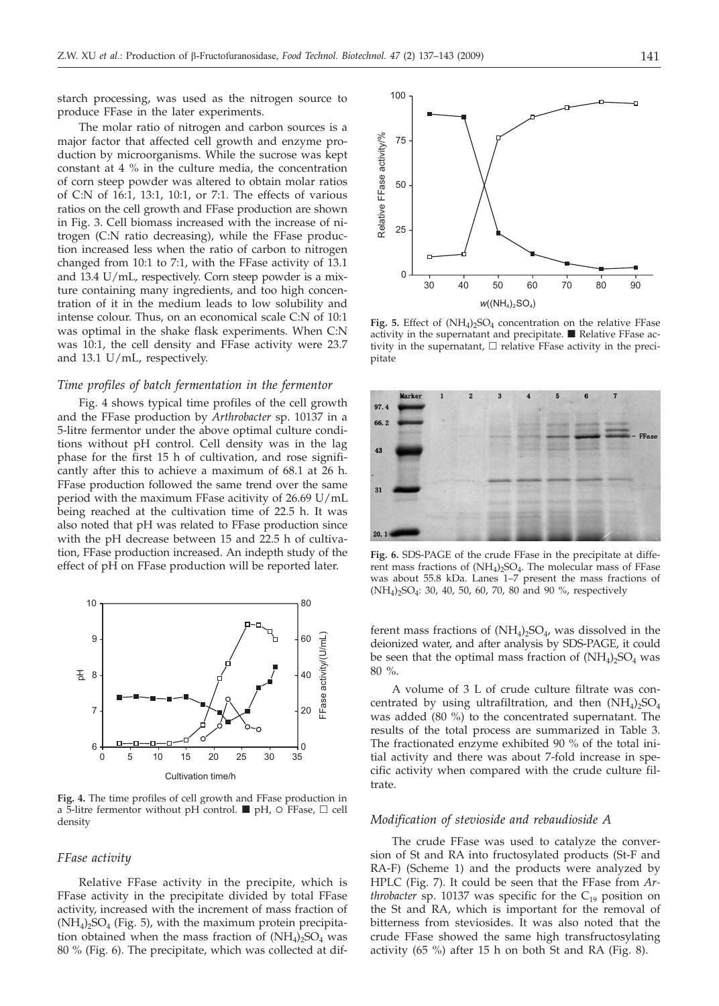starch processing, was used as the nitrogen source to produce FFase in the later experiments.

The molar ratio of nitrogen and carbon sources is a major factor that affected cell growth and enzyme production by microorganisms. While the sucrose was kept constant at 4 % in the culture media, the concentration of corn steep powder was altered to obtain molar ratios of C:N of 16:1, 13:1, 10:1, or 7:1. The effects of various ratios on the cell growth and FFase production are shown in Fig. 3. Cell biomass increased with the increase of nitrogen (C:N ratio decreasing), while the FFase production increased less when the ratio of carbon to nitrogen changed from 10:1 to 7:1, with the FFase activity of 13.1 and 13.4 U/mL, respectively. Corn steep powder is a mixture containing many ingredients, and too high concentration of it in the medium leads to low solubility and intense colour. Thus, on an economical scale C:N of 10:1 was optimal in the shake flask experiments. When C:N was 10:1, the cell density and FFase activity were 23.7 and 13.1 U/mL, respectively.

## *Time profiles of batch fermentation in the fermentor*

Fig. 4 shows typical time profiles of the cell growth and the FFase production by *Arthrobacter* sp. 10137 in a 5-litre fermentor under the above optimal culture conditions without pH control. Cell density was in the lag phase for the first 15 h of cultivation, and rose significantly after this to achieve a maximum of 68.1 at 26 h. FFase production followed the same trend over the same period with the maximum FFase acitivity of 26.69 U/mL being reached at the cultivation time of 22.5 h. It was also noted that pH was related to FFase production since with the pH decrease between 15 and 22.5 h of cultivation, FFase production increased. An indepth study of the effect of pH on FFase production will be reported later.



**Fig. 4.** The time profiles of cell growth and FFase production in a 5-litre fermentor without pH control.  $\blacksquare$  pH,  $\odot$  FFase,  $\Box$  cell density

## *FFase activity*

Relative FFase activity in the precipite, which is FFase activity in the precipitate divided by total FFase activity, increased with the increment of mass fraction of  $(NH_4)$ <sub>2</sub>SO<sub>4</sub> (Fig. 5), with the maximum protein precipitation obtained when the mass fraction of  $(NH_4)_2SO_4$  was 80 % (Fig. 6). The precipitate, which was collected at dif-



Fig. 5. Effect of  $(NH_4)$ <sub>2</sub>SO<sub>4</sub> concentration on the relative FFase activity in the supernatant and precipitate.  $\blacksquare$  Relative FFase activity in the supernatant,  $\Box$  relative FFase activity in the precipitate



**Fig. 6.** SDS-PAGE of the crude FFase in the precipitate at different mass fractions of  $(NH_4)$ <sub>2</sub>SO<sub>4</sub>. The molecular mass of FFase was about 55.8 kDa. Lanes 1–7 present the mass fractions of  $(NH_4)_{2}SO_4$ : 30, 40, 50, 60, 70, 80 and 90 %, respectively

ferent mass fractions of  $(NH_4)_2SO_4$ , was dissolved in the deionized water, and after analysis by SDS-PAGE, it could be seen that the optimal mass fraction of  $(NH<sub>4</sub>)<sub>2</sub>SO<sub>4</sub>$  was 80 %.

A volume of 3 L of crude culture filtrate was concentrated by using ultrafiltration, and then  $(NH_4)_2SO_4$ was added (80 %) to the concentrated supernatant. The results of the total process are summarized in Table 3. The fractionated enzyme exhibited 90 % of the total initial activity and there was about 7-fold increase in specific activity when compared with the crude culture filtrate.

## *Modification of stevioside and rebaudioside A*

The crude FFase was used to catalyze the conversion of St and RA into fructosylated products (St-F and RA-F) (Scheme 1) and the products were analyzed by HPLC (Fig. 7). It could be seen that the FFase from *Arthrobacter* sp. 10137 was specific for the  $C_{19}$  position on the St and RA, which is important for the removal of bitterness from steviosides. It was also noted that the crude FFase showed the same high transfructosylating activity (65 %) after 15 h on both St and RA (Fig. 8).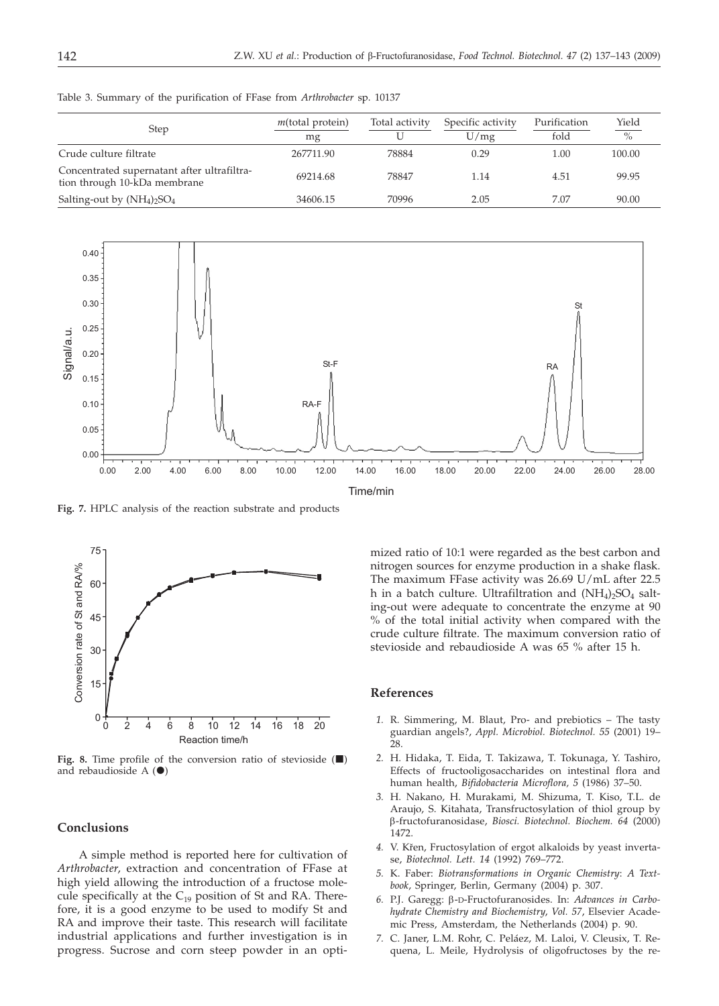Table 3. Summary of the purification of FFase from *Arthrobacter* sp. 10137

| <b>Step</b>                                                                 | $m$ (total protein)<br>mg | Total activity | Specific activity<br>U/mg | Purification<br>fold | Yield<br>$\%$ |
|-----------------------------------------------------------------------------|---------------------------|----------------|---------------------------|----------------------|---------------|
| Crude culture filtrate                                                      | 267711.90                 | 78884          | 0.29                      | 1.00                 | 100.00        |
| Concentrated supernatant after ultrafiltra-<br>tion through 10-kDa membrane | 69214.68                  | 78847          | 1.14                      | 4.51                 | 99.95         |
| Salting-out by $(NH_4)_2SO_4$                                               | 34606.15                  | 70996          | 2.05                      | 7.07                 | 90.00         |



**Fig. 7.** HPLC analysis of the reaction substrate and products



Fig. 8. Time profile of the conversion ratio of stevioside  $(\blacksquare)$ and rebaudioside  $A(\bullet)$ 

#### **Conclusions**

A simple method is reported here for cultivation of *Arthrobacter*, extraction and concentration of FFase at high yield allowing the introduction of a fructose molecule specifically at the  $C_{19}$  position of St and RA. Therefore, it is a good enzyme to be used to modify St and RA and improve their taste. This research will facilitate industrial applications and further investigation is in progress. Sucrose and corn steep powder in an optimized ratio of 10:1 were regarded as the best carbon and nitrogen sources for enzyme production in a shake flask. The maximum FFase activity was 26.69 U/mL after 22.5 h in a batch culture. Ultrafiltration and  $(NH_4)$ <sub>2</sub>SO<sub>4</sub> salting-out were adequate to concentrate the enzyme at 90 % of the total initial activity when compared with the crude culture filtrate. The maximum conversion ratio of stevioside and rebaudioside A was 65 % after 15 h.

#### **References**

- *1.* R. Simmering, M. Blaut, Pro- and prebiotics The tasty guardian angels?, *Appl. Microbiol. Biotechnol. 55* (2001) 19– 28.
- *2.* H. Hidaka, T. Eida, T. Takizawa, T. Tokunaga, Y. Tashiro, Effects of fructooligosaccharides on intestinal flora and human health, *Bifidobacteria Microflora, 5* (1986) 37–50.
- *3.* H. Nakano, H. Murakami, M. Shizuma, T. Kiso, T.L. de Araujo, S. Kitahata, Transfructosylation of thiol group by b-fructofuranosidase, *Biosci. Biotechnol. Biochem. 64* (2000) 1472.
- 4. V. Křen, Fructosylation of ergot alkaloids by yeast invertase, *Biotechnol. Lett. 14* (1992) 769–772.
- *5.* K. Faber: *Biotransformations in Organic Chemistry*: *A Textbook*, Springer, Berlin, Germany (2004) p. 307.
- *6.* P.J. Garegg: <sup>b</sup>-D-Fructofuranosides. In: *Advances in Carbohydrate Chemistry and Biochemistry*, *Vol. 57*, Elsevier Academic Press, Amsterdam, the Netherlands (2004) p. 90.
- *7.* C. Janer, L.M. Rohr, C. Peláez, M. Laloi, V. Cleusix, T. Requena, L. Meile, Hydrolysis of oligofructoses by the re-